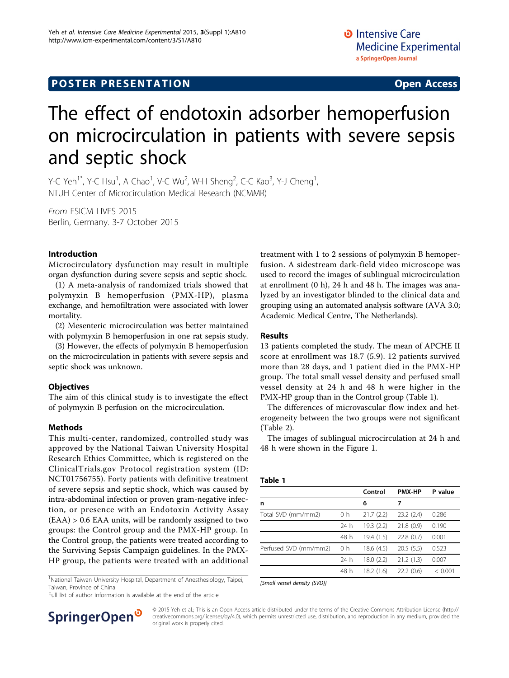# The effect of endotoxin adsorber hemoperfusion on microcirculation in patients with severe sepsis and septic shock

Y-C Yeh<sup>1\*</sup>, Y-C Hsu<sup>1</sup>, A Chao<sup>1</sup>, V-C Wu<sup>2</sup>, W-H Sheng<sup>2</sup>, C-C Kao<sup>3</sup>, Y-J Cheng<sup>1</sup> , NTUH Center of Microcirculation Medical Research (NCMMR)

From ESICM LIVES 2015 Berlin, Germany. 3-7 October 2015

## Introduction

Microcirculatory dysfunction may result in multiple organ dysfunction during severe sepsis and septic shock.

(1) A meta-analysis of randomized trials showed that polymyxin B hemoperfusion (PMX-HP), plasma exchange, and hemofiltration were associated with lower mortality.

(2) Mesenteric microcirculation was better maintained with polymyxin B hemoperfusion in one rat sepsis study.

(3) However, the effects of polymyxin B hemoperfusion on the microcirculation in patients with severe sepsis and septic shock was unknown.

## **Objectives**

The aim of this clinical study is to investigate the effect of polymyxin B perfusion on the microcirculation.

## Methods

This multi-center, randomized, controlled study was approved by the National Taiwan University Hospital Research Ethics Committee, which is registered on the ClinicalTrials.gov Protocol registration system (ID: NCT01756755). Forty patients with definitive treatment of severe sepsis and septic shock, which was caused by intra-abdominal infection or proven gram-negative infection, or presence with an Endotoxin Activity Assay (EAA) > 0.6 EAA units, will be randomly assigned to two groups: the Control group and the PMX-HP group. In the Control group, the patients were treated according to the Surviving Sepsis Campaign guidelines. In the PMX-HP group, the patients were treated with an additional

<sup>1</sup>National Taiwan University Hospital, Department of Anesthesiology, Taipei, Taiwan, Province of China

Full list of author information is available at the end of the article



## Results

13 patients completed the study. The mean of APCHE II score at enrollment was 18.7 (5.9). 12 patients survived more than 28 days, and 1 patient died in the PMX-HP group. The total small vessel density and perfused small vessel density at 24 h and 48 h were higher in the PMX-HP group than in the Control group (Table 1).

The differences of microvascular flow index and heterogeneity between the two groups were not significant (Table [2\)](#page-1-0).

The images of sublingual microcirculation at 24 h and 48 h were shown in the Figure [1](#page-1-0).

| ۰.<br>۰.<br>×<br>. .<br>w |
|---------------------------|
|---------------------------|

|                       |      | Control    | <b>PMX-HP</b> | P value |
|-----------------------|------|------------|---------------|---------|
| n                     |      | 6          | 7             |         |
| Total SVD (mm/mm2)    | 0 h  | 21.7(2.2)  | 23.2(2.4)     | 0.286   |
|                       | 24 h | 19.3(2.2)  | 21.8(0.9)     | 0.190   |
|                       | 48 h | 19.4 (1.5) | 22.8(0.7)     | 0.001   |
| Perfused SVD (mm/mm2) | 0 h  | 18.6 (4.5) | 20.5(5.5)     | 0.523   |
|                       | 24 h | 18.0 (2.2) | 21.2(1.3)     | 0.007   |
|                       | 48 h | 18.2 (1.6) | 22.2(0.6)     | < 0.001 |

[Small vessel density (SVD)]



© 2015 Yeh et al.; This is an Open Access article distributed under the terms of the Creative Commons Attribution License ([http://](http://creativecommons.org/licenses/by/4.0) [creativecommons.org/licenses/by/4.0](http://creativecommons.org/licenses/by/4.0)), which permits unrestricted use, distribution, and reproduction in any medium, provided the original work is properly cited.